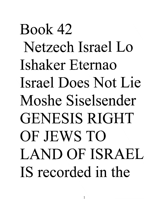# Book 42 Netzech Israel Lo Ishaker Etemao Israel Does Not Lie Moshe Siselsender GENESIS RIGHT OF JEWS TO LAND OF ISRAEL IS recorded in the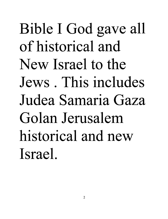Bible I God gave all of historical and New Israel to the Jews . This includes Judea Samaria Gaza Golan Jerusalem historical and new Israel.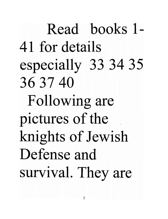Read books 1- 41 for details especially 33 34 35 36 37 40 Following are pictures of the knights of Jewish Defense and survival. They are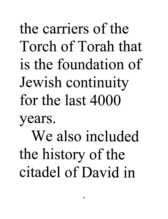the carriers of the Torch of Torah that is the foundation of Jewish continuity for the last 4000 years. We also included the history of the citadel of David in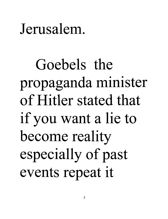#### Jerusalem.

Goebels the propaganda minister of Hitler stated that if you want a lie to become reality especially of past events repeat it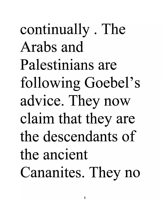continually . The Arabs and Palestinians are following Goebel's advice. They now claim that they are the descendants of the ancient Cananites. They no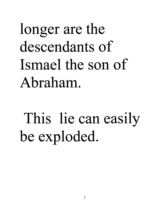longer are the descendants of Ismael the son of Abraham.

This lie can easily be exploded.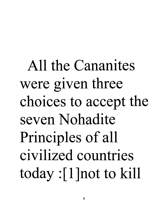All the Cananites were given three choices to accept the seven Nohadite Principles of all civilized countries today : [1] not to kill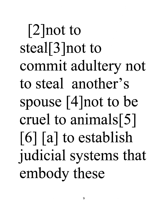[2]not to steal[3 ]not to commit adultery not to steal another's spouse [4 ]not to be cruel to animals[5]  $\lceil 6 \rceil$   $\lceil a \rceil$  to establish judicial systems that embody these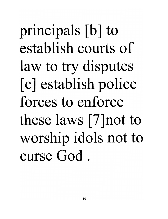principals [b] to establish courts of law to try disputes [c] establish police forces to enforce these laws [7]not to worship idols not to curse God.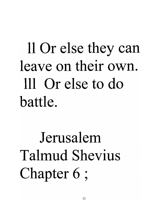# 11 Or else they can leave on their own. III Or else to do battle.

Jerusalem Talmud Shevius Chapter 6 ;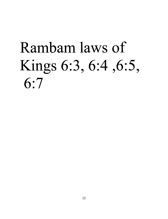# Rambam laws of Kings 6:3, 6:4 ,6:5, 6:7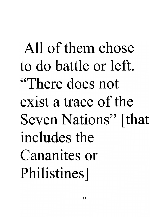All of them chose to do battle or left. "There does not exist a trace of the Seven Nations" [that includes the Cananites or Philistines]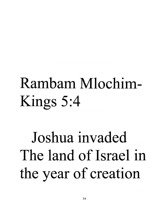## Rambam Mlochim-Kings 5:4

Joshua invaded The land of Israel in the year of creation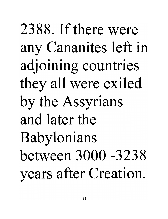2388. If there were any Cananites left in adjoining countries they all were exiled by the Assyrians and later the Babylonians between 3000 -3238 years after Creation.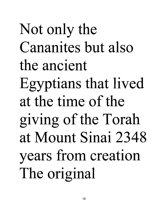Not only the Cananites but also the ancient Egyptians that lived at the time of the giving of the Torah at Mount Sinai 2348 years from creation The original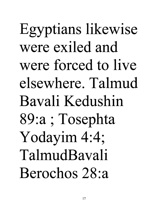Egyptians likewise were exiled and were forced to live elsewhere. Talmud Bavali Kedushin 89:a ; Tosephta Yodayim 4:4; TalmudBavali Berochos 28:a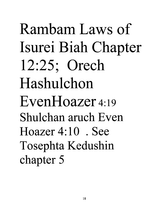Rambam Laws of Isurei Biah Chapter 12:25; Orech Hashulchon EvenHoazer 4:19 Shulchan aruch Even Hoazer 4: 10 . See Tosephta Kedushin chapter 5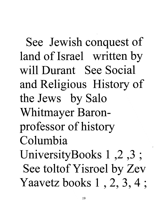See Jewish conquest of land of Israel written by will Durant See Social and Religious History of the Jews by Salo Whitmayer Baronprofessor of history Columbia UniversityBooks 1 ,2 ,3 ; See toltof Yisroel by Zev Yaavetz books 1 , 2, 3, 4 ;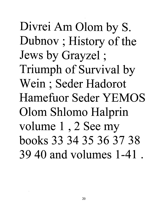Divrei Am Olom by S. Dubnov ; History of the Jews by Grayzel ; Triumph of Survival by Wein ; Seder Hadorot Hamefuor Seder YEMOS Olom Shlomo Halprin volume 1 , 2 See my books 33 34 35 36 37 38 39 40 and volumes 1-41 .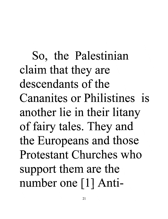So, the Palestinian claim that they are descendants of the Cananites or Philistines is another lie in their litany of fairy tales. They and the Europeans and those Protestant Churches who support them are the number one [1] Anti-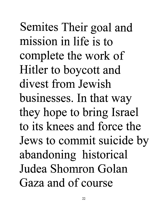Semites Their goal and mission in life is to complete the work of Hitler to boycott and divest from Jewish businesses. In that way they hope to bring Israel to its knees and force the Jews to commit suicide by abandoning historical Judea Shomron Golan Gaza and of course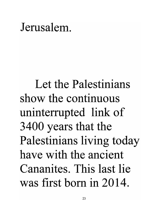#### Jerusalem.

Let the Palestinians show the continuous uninterrupted link of 3400 years that the Palestinians living today have with the ancient Cananites. This last lie was first born in 2014.